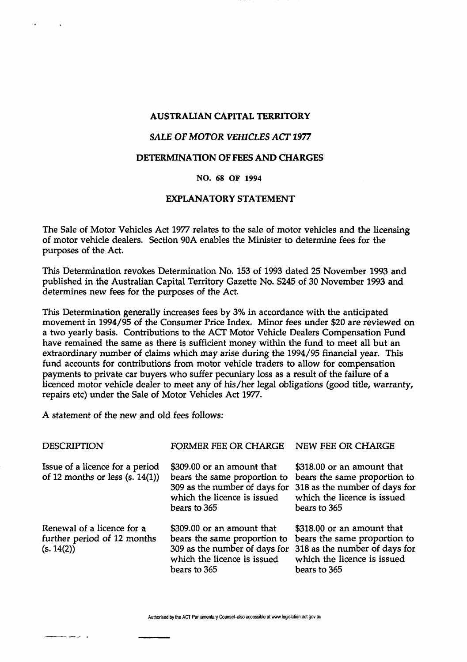# **AUSTRALIAN CAPITAL TERRITORY**

# *SALE OF MOTOR VEHICLES ACT 1977*

### **DETERMINATION OF FEES AND CHARGES**

#### **NO. 68 OF 1994**

# **EXPLANATORY STATEMENT**

The Sale of Motor Vehicles Act 1977 relates to the sale of motor vehicles and the licensing of motor vehicle dealers. Section 90A enables the Minister to determine fees for the purposes of the Act.

This Determination revokes Determination No. 153 of 1993 dated 25 November 1993 and published in the Australian Capital Territory Gazette No. S245 of 30 November 1993 and determines new fees for the purposes of the Act.

This Determination generally increases fees by 3% in accordance with the anticipated movement in 1994/95 of the Consumer Price Index. Minor fees under \$20 are reviewed on a two yearly basis. Contributions to the ACT Motor Vehicle Dealers Compensation Fund have remained the same as there is sufficient money within the fund to meet all but an extraordinary number of claims which may arise during the 1994/95 financial year. This fund accounts for contributions from motor vehicle traders to allow for compensation payments to private car buyers who suffer pecuniary loss as a result of the failure of a licenced motor vehicle dealer to meet any of his/her legal obligations (good title, warranty, repairs etc) under the Sale of Motor Vehicles Act 1977.

A statement of the new and old fees follows:

| <b>DESCRIPTION</b>                                                      | FORMER FEE OR CHARGE                                                                                      | NEW FEE OR CHARGE                                                                                                                                                        |
|-------------------------------------------------------------------------|-----------------------------------------------------------------------------------------------------------|--------------------------------------------------------------------------------------------------------------------------------------------------------------------------|
| Issue of a licence for a period<br>of 12 months or less $(s. 14(1))$    | \$309.00 or an amount that<br>bears the same proportion to<br>which the licence is issued<br>bears to 365 | \$318.00 or an amount that<br>bears the same proportion to<br>309 as the number of days for 318 as the number of days for<br>which the licence is issued<br>bears to 365 |
| Renewal of a licence for a<br>further period of 12 months<br>(s. 14(2)) | \$309.00 or an amount that<br>bears the same proportion to<br>which the licence is issued<br>bears to 365 | \$318.00 or an amount that<br>bears the same proportion to<br>309 as the number of days for 318 as the number of days for<br>which the licence is issued<br>bears to 365 |